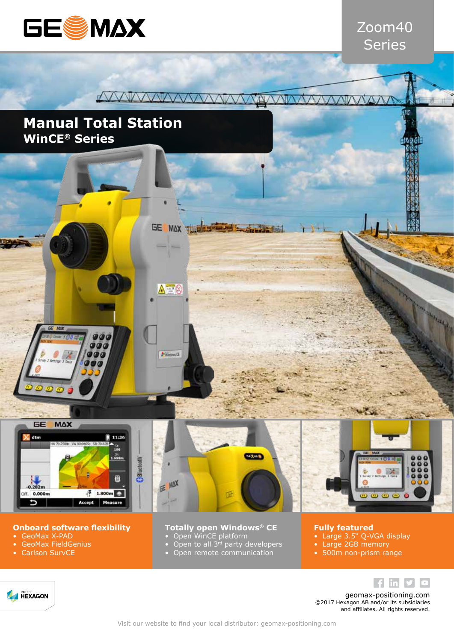

## Zoom40 Series

'n.

#### WWWWWWW  $\sqrt{M}$

GE MAX

 $\Delta = 0$ 

P Wintows CE

## **Manual Total Station WinCE® Series**

 $900$ 

 $00$ 

 $\overline{c}$ 



**GE MAX** 

 $\sqrt{2}$ 

 $10M$ 

#### **Onboard software flexibility**

- GeoMax X-PAD
- GeoMax FieldGenius
- Carlson SurvCE

**A HEXAGON** 





### **Totally open Windows® CE**

- Open WinCE platform
- 
- Open to all 3<sup>rd</sup> party developers
- Open remote communication

#### **Fully featured**

- Large 3.5" Q-VGA display
- Large 2GB memory
- 500m non-prism range

 $f$  in  $y$  $\hfill \Box$ 

geomax-positioning.com ©2017 Hexagon AB and/or its subsidiaries and affiliates. All rights reserved.